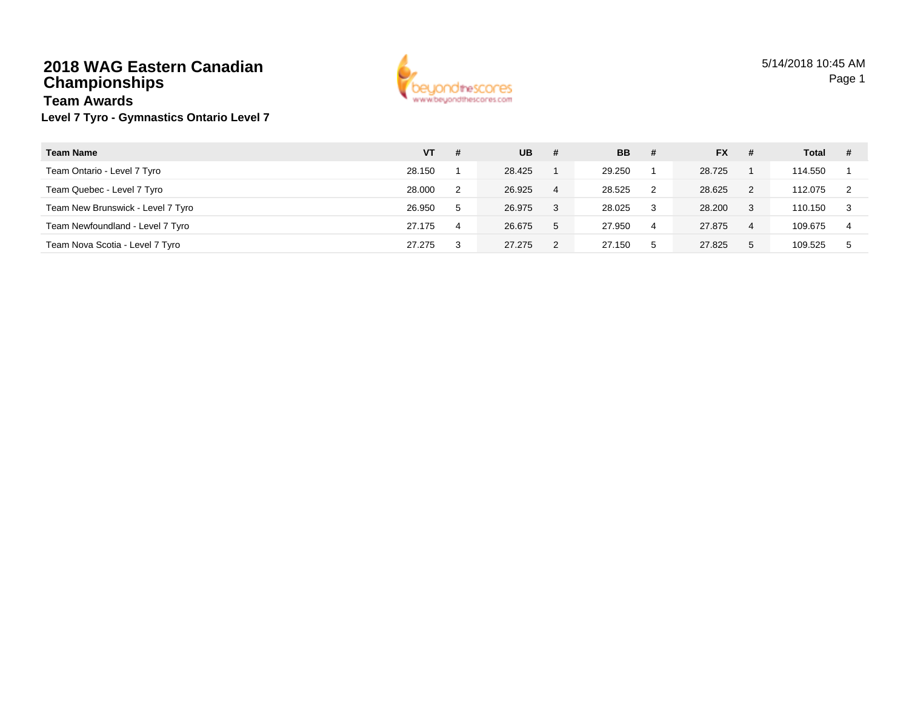#### **2018 WAG Eastern CanadianChampionshipsTeam Awards**



# **Level 7 Tyro - Gymnastics Ontario Level 7**

| <b>Team Name</b>                  | VT     | -# | UB.    | #  | <b>BB</b> | -# | <b>FX</b> | #           | Total   | # |
|-----------------------------------|--------|----|--------|----|-----------|----|-----------|-------------|---------|---|
| Team Ontario - Level 7 Tyro       | 28.150 |    | 28.425 |    | 29.250    |    | 28.725    |             | 114.550 |   |
| Team Quebec - Level 7 Tyro        | 28,000 | 2  | 26.925 | 4  | 28.525    | 2  | 28.625    | 2           | 112.075 |   |
| Team New Brunswick - Level 7 Tyro | 26.950 | 5  | 26.975 | -3 | 28.025    | -3 | 28,200    | 3           | 110.150 | 3 |
| Team Newfoundland - Level 7 Tyro  | 27.175 | 4  | 26.675 | -5 | 27.950    | 4  | 27.875    | 4           | 109.675 | 4 |
| Team Nova Scotia - Level 7 Tyro   | 27.275 | 3  | 27.275 |    | 27.150    | 5  | 27.825    | $5^{\circ}$ | 109.525 |   |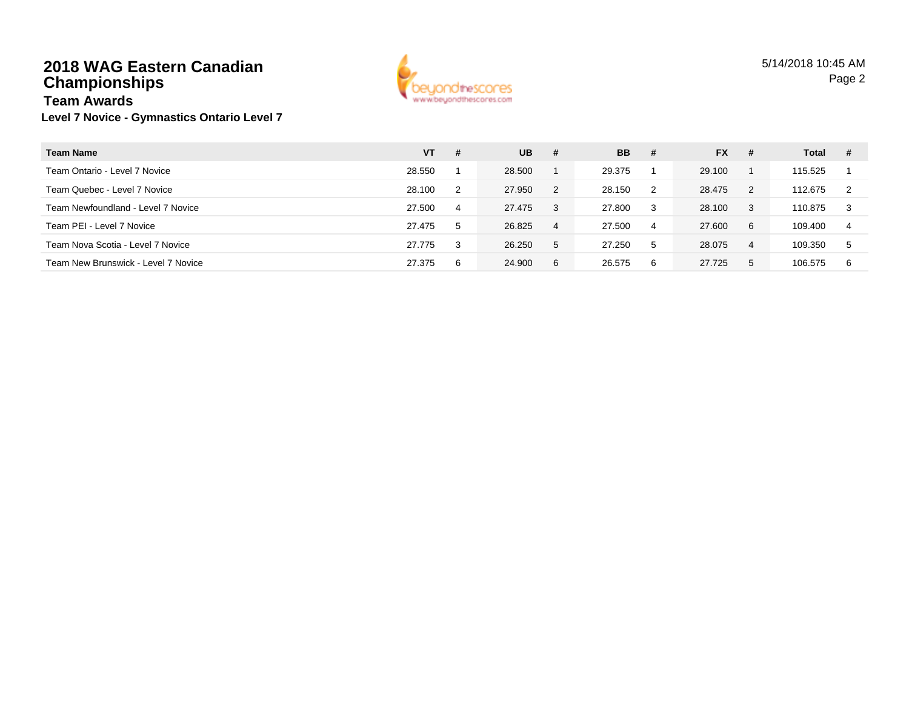## **2018 WAG Eastern CanadianChampionships**



#### **Level 7 Novice - Gymnastics Ontario Level 7 Team Awards**

| <b>Team Name</b>                    | VT     | -# | <b>UB</b> | #              | <b>BB</b> | -# | <b>FX</b> | # | Total   | # |
|-------------------------------------|--------|----|-----------|----------------|-----------|----|-----------|---|---------|---|
| Team Ontario - Level 7 Novice       | 28.550 |    | 28.500    |                | 29.375    |    | 29.100    |   | 115.525 |   |
| Team Quebec - Level 7 Novice        | 28.100 | 2  | 27.950    | $\overline{2}$ | 28.150    | 2  | 28.475    | 2 | 112.675 |   |
| Team Newfoundland - Level 7 Novice  | 27.500 | 4  | 27.475    | -3             | 27.800    | 3  | 28.100    | 3 | 110.875 | 3 |
| Team PEI - Level 7 Novice           | 27.475 | 5  | 26.825    | 4              | 27.500    | 4  | 27,600    | 6 | 109.400 | 4 |
| Team Nova Scotia - Level 7 Novice   | 27.775 | 3  | 26.250    | -5             | 27.250    | 5  | 28.075    | 4 | 109.350 | 5 |
| Team New Brunswick - Level 7 Novice | 27.375 | 6  | 24.900    | 6              | 26.575    | 6  | 27.725    | 5 | 106.575 | 6 |